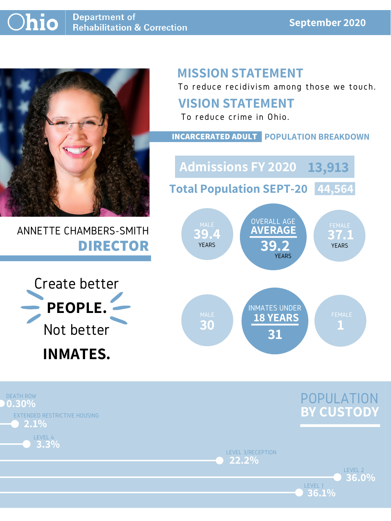

# ANNETTE CHAMBERS-SMITH **DIRECTOR**

# **MISSION STATEMENT**

To reduce recidivism among those we touch.





LEVEL 3/RECEPTION **22.2%**

LEVEL 1



**36.1%**



### **VISION STATEMENT**



To reduce crime in Ohio.

#### **INCARCERATED ADULT POPULATION BREAKDOWN**

**Total Population SEPT-20 44,564**

**Admissions FY 2020 13,913**

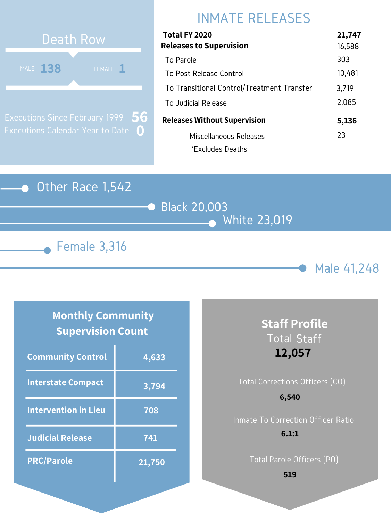#### Other Race 1,542







# INMATE RELEASES

| Total FY 2020                              | 21,747 |
|--------------------------------------------|--------|
| <b>Releases to Supervision</b>             | 16,588 |
| To Parole                                  | 303    |
| To Post Release Control                    | 10,481 |
| To Transitional Control/Treatment Transfer | 3,719  |
| To Judicial Release                        | 2,085  |
| <b>Releases Without Supervision</b>        | 5,136  |
| Miscellaneous Releases                     | 23     |
| *Excludes Deaths                           |        |



Executions Since February 1999 Executions Calendar Year to Date **0 56**

#### **Monthly Community Supervision Count**

| <b>Community Control</b>    | 4,633  |
|-----------------------------|--------|
| <b>Interstate Compact</b>   | 3,794  |
| <b>Intervention in Lieu</b> | 708    |
| <b>Judicial Release</b>     | 741    |
| <b>PRC/Parole</b>           | 21,750 |

## **Staff Profile** Total Staff **12,057**

# Total Corrections Officers (CO) Inmate To Correction Officer Ratio **6,540 6.1:1**

Total Parole Officers (PO)

**519**